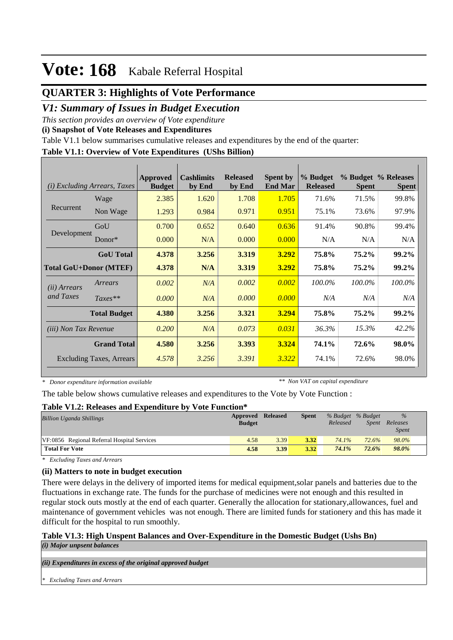## **QUARTER 3: Highlights of Vote Performance**

## *V1: Summary of Issues in Budget Execution*

*This section provides an overview of Vote expenditure* 

**(i) Snapshot of Vote Releases and Expenditures**

Table V1.1 below summarises cumulative releases and expenditures by the end of the quarter:

#### **Table V1.1: Overview of Vote Expenditures (UShs Billion)**

| (i)                           | <i>Excluding Arrears, Taxes</i> | Approved<br><b>Budget</b> | <b>Cashlimits</b><br>by End | <b>Released</b><br>by End | <b>Spent by</b><br><b>End Mar</b> | % Budget<br><b>Released</b> | <b>Spent</b> | % Budget % Releases<br><b>Spent</b> |
|-------------------------------|---------------------------------|---------------------------|-----------------------------|---------------------------|-----------------------------------|-----------------------------|--------------|-------------------------------------|
|                               | Wage                            | 2.385                     | 1.620                       | 1.708                     | 1.705                             | 71.6%                       | 71.5%        | 99.8%                               |
| Recurrent                     | Non Wage                        | 1.293                     | 0.984                       | 0.971                     | 0.951                             | 75.1%                       | 73.6%        | 97.9%                               |
|                               | GoU                             | 0.700                     | 0.652                       | 0.640                     | 0.636                             | 91.4%                       | 90.8%        | 99.4%                               |
| Development                   | Donor $*$                       | 0.000                     | N/A                         | 0.000                     | 0.000                             | N/A                         | N/A          | N/A                                 |
|                               | <b>GoU</b> Total                | 4.378                     | 3.256                       | 3.319                     | 3.292                             | 75.8%                       | 75.2%        | 99.2%                               |
| <b>Total GoU+Donor (MTEF)</b> |                                 | 4.378                     | N/A                         | 3.319                     | 3.292                             | 75.8%                       | 75.2%        | 99.2%                               |
| ( <i>ii</i> ) Arrears         | Arrears                         | 0.002                     | N/A                         | 0.002                     | 0.002                             | 100.0%                      | $100.0\%$    | 100.0%                              |
| and Taxes                     | $Taxes**$                       | 0.000                     | N/A                         | 0.000                     | 0.000                             | N/A                         | N/A          | N/A                                 |
|                               | <b>Total Budget</b>             | 4.380                     | 3.256                       | 3.321                     | 3.294                             | 75.8%                       | 75.2%        | 99.2%                               |
| <i>(iii)</i> Non Tax Revenue  |                                 | 0.200                     | N/A                         | 0.073                     | 0.031                             | 36.3%                       | 15.3%        | 42.2%                               |
|                               | <b>Grand Total</b>              | 4.580                     | 3.256                       | 3.393                     | 3.324                             | 74.1%                       | 72.6%        | 98.0%                               |
|                               | Excluding Taxes, Arrears        | 4.578                     | 3.256                       | 3.391                     | 3.322                             | 74.1%                       | 72.6%        | 98.0%                               |

*\* Donor expenditure information available*

*\*\* Non VAT on capital expenditure*

The table below shows cumulative releases and expenditures to the Vote by Vote Function :

#### **Table V1.2: Releases and Expenditure by Vote Function\***

| <b>Billion Uganda Shillings</b>             | <b>Approved Released</b><br><b>Budget</b> |      | <b>Spent</b> | % Budget % Budget<br>Released | <i>Spent</i> | $\%$<br>Releases<br><i>Spent</i> |  |
|---------------------------------------------|-------------------------------------------|------|--------------|-------------------------------|--------------|----------------------------------|--|
| VF:0856 Regional Referral Hospital Services | 4.58                                      | 3.39 | 3.32         | 74.1%                         | 72.6%        | 98.0%                            |  |
| <b>Total For Vote</b>                       | 4.58                                      | 3.39 | 3.32         | 74.1%                         | 72.6%        | 98.0%                            |  |

*\* Excluding Taxes and Arrears*

### **(ii) Matters to note in budget execution**

There were delays in the delivery of imported items for medical equipment,solar panels and batteries due to the fluctuations in exchange rate. The funds for the purchase of medicines were not enough and this resulted in regular stock outs mostly at the end of each quarter. Generally the allocation for stationary,allowances, fuel and maintenance of government vehicles was not enough. There are limited funds for stationery and this has made it difficult for the hospital to run smoothly.

#### **Table V1.3: High Unspent Balances and Over-Expenditure in the Domestic Budget (Ushs Bn)** *(i) Major unpsent balances*

*(ii) Expenditures in excess of the original approved budget*

*\* Excluding Taxes and Arrears*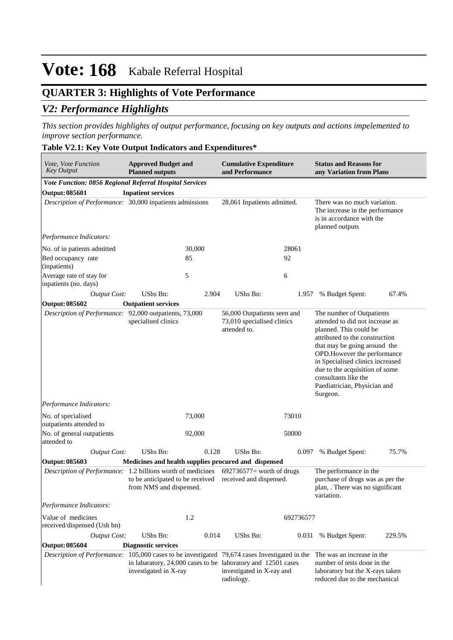## **QUARTER 3: Highlights of Vote Performance**

## *V2: Performance Highlights*

*This section provides highlights of output performance, focusing on key outputs and actions impelemented to improve section performance.*

### **Table V2.1: Key Vote Output Indicators and Expenditures\***

| Vote, Vote Function<br><b>Key Output</b>                                                                                 | <b>Approved Budget and</b><br><b>Planned outputs</b>        |                             | <b>Cumulative Expenditure</b><br>and Performance                                                        |                                                                                                                 | <b>Status and Reasons for</b><br>any Variation from Plans                                                                                                                                                                                                                                                                          |        |  |
|--------------------------------------------------------------------------------------------------------------------------|-------------------------------------------------------------|-----------------------------|---------------------------------------------------------------------------------------------------------|-----------------------------------------------------------------------------------------------------------------|------------------------------------------------------------------------------------------------------------------------------------------------------------------------------------------------------------------------------------------------------------------------------------------------------------------------------------|--------|--|
| Vote Function: 0856 Regional Referral Hospital Services                                                                  |                                                             |                             |                                                                                                         |                                                                                                                 |                                                                                                                                                                                                                                                                                                                                    |        |  |
| <b>Output: 085601</b>                                                                                                    | <b>Inpatient services</b>                                   |                             |                                                                                                         |                                                                                                                 |                                                                                                                                                                                                                                                                                                                                    |        |  |
| Description of Performance: 30,000 inpatients admissions                                                                 |                                                             | 28,061 Inpatients admitted. |                                                                                                         | There was no much variation.<br>The increase in the performance<br>is in accordance with the<br>planned outputs |                                                                                                                                                                                                                                                                                                                                    |        |  |
| Performance Indicators:                                                                                                  |                                                             |                             |                                                                                                         |                                                                                                                 |                                                                                                                                                                                                                                                                                                                                    |        |  |
| No. of in patients admitted                                                                                              |                                                             | 30,000                      |                                                                                                         | 28061                                                                                                           |                                                                                                                                                                                                                                                                                                                                    |        |  |
| Bed occupancy rate<br>(inpatients)                                                                                       |                                                             | 85                          |                                                                                                         | 92                                                                                                              |                                                                                                                                                                                                                                                                                                                                    |        |  |
| Average rate of stay for<br>inpatients (no. days)                                                                        |                                                             | 5                           |                                                                                                         | 6                                                                                                               |                                                                                                                                                                                                                                                                                                                                    |        |  |
| <b>Output Cost:</b>                                                                                                      | UShs Bn:                                                    | 2.904                       | UShs Bn:                                                                                                | 1.957                                                                                                           | % Budget Spent:                                                                                                                                                                                                                                                                                                                    | 67.4%  |  |
| <b>Output: 085602</b>                                                                                                    | <b>Outpatient services</b>                                  |                             |                                                                                                         |                                                                                                                 |                                                                                                                                                                                                                                                                                                                                    |        |  |
| Description of Performance: 92,000 outpatients, 73,000                                                                   | specialised clinics                                         |                             | 56,000 Outpatients seen and<br>73,010 specialised clinics<br>attended to.                               |                                                                                                                 | The number of Outpatients<br>attended to did not increase as<br>planned. This could be<br>attributed to the construction<br>that may be going around the<br>OPD. However the performance<br>in Specialised clinics increased<br>due to the acquisition of some<br>consultants like the<br>Paediatrician, Physician and<br>Surgeon. |        |  |
| Performance Indicators:                                                                                                  |                                                             |                             |                                                                                                         |                                                                                                                 |                                                                                                                                                                                                                                                                                                                                    |        |  |
| No. of specialised<br>outpatients attended to                                                                            |                                                             | 73,000                      |                                                                                                         | 73010                                                                                                           |                                                                                                                                                                                                                                                                                                                                    |        |  |
| No. of general outpatients<br>attended to                                                                                |                                                             | 92,000                      |                                                                                                         | 50000                                                                                                           |                                                                                                                                                                                                                                                                                                                                    |        |  |
| <b>Output Cost:</b>                                                                                                      | UShs Bn:                                                    | 0.128                       | UShs Bn:                                                                                                | 0.097                                                                                                           | % Budget Spent:                                                                                                                                                                                                                                                                                                                    | 75.7%  |  |
| <b>Output: 085603</b>                                                                                                    |                                                             |                             | Medicines and health supplies procured and dispensed                                                    |                                                                                                                 |                                                                                                                                                                                                                                                                                                                                    |        |  |
| Description of Performance: 1.2 billions worth of medicines                                                              | to be anticipated to be received<br>from NMS and dispensed. |                             | $692736577$ worth of drugs<br>received and dispensed.                                                   |                                                                                                                 | The performance in the<br>purchase of drugs was as per the<br>plan, . There was no significant<br>variation.                                                                                                                                                                                                                       |        |  |
| Performance Indicators:                                                                                                  |                                                             |                             |                                                                                                         |                                                                                                                 |                                                                                                                                                                                                                                                                                                                                    |        |  |
| Value of medicines<br>received/dispensed (Ush bn)                                                                        |                                                             | 1.2                         |                                                                                                         | 692736577                                                                                                       |                                                                                                                                                                                                                                                                                                                                    |        |  |
| <b>Output Cost:</b>                                                                                                      | UShs Bn:                                                    | 0.014                       | UShs Bn:                                                                                                | 0.031                                                                                                           | % Budget Spent:                                                                                                                                                                                                                                                                                                                    | 229.5% |  |
| <b>Output: 085604</b>                                                                                                    | <b>Diagnostic services</b>                                  |                             |                                                                                                         |                                                                                                                 |                                                                                                                                                                                                                                                                                                                                    |        |  |
| Description of Performance: 105,000 cases to be investigated 79,674 cases Investigated in the The was an increase in the | investigated in X-ray                                       |                             | in labaratory, 24,000 cases to be laboratory and 12501 cases<br>investigated in X-ray and<br>radiology. |                                                                                                                 | number of tests done in the<br>laboratory but the X-rays taken<br>reduced due to the mechanical                                                                                                                                                                                                                                    |        |  |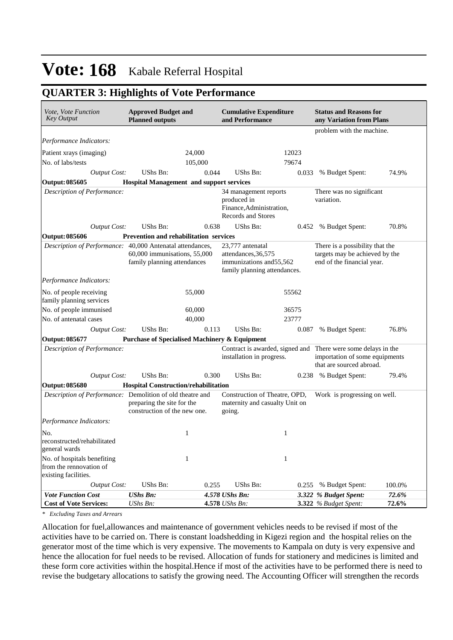## **QUARTER 3: Highlights of Vote Performance**

| <i>Vote, Vote Function</i><br><b>Key Output</b>                                | <b>Approved Budget and</b><br><b>Cumulative Expenditure</b><br><b>Planned outputs</b><br>and Performance |         |                                                                                                      | <b>Status and Reasons for</b><br>any Variation from Plans |                                                                                                                             |                |  |
|--------------------------------------------------------------------------------|----------------------------------------------------------------------------------------------------------|---------|------------------------------------------------------------------------------------------------------|-----------------------------------------------------------|-----------------------------------------------------------------------------------------------------------------------------|----------------|--|
|                                                                                |                                                                                                          |         |                                                                                                      |                                                           | problem with the machine.                                                                                                   |                |  |
| Performance Indicators:                                                        |                                                                                                          |         |                                                                                                      |                                                           |                                                                                                                             |                |  |
| Patient xrays (imaging)                                                        |                                                                                                          | 24,000  |                                                                                                      | 12023                                                     |                                                                                                                             |                |  |
| No. of labs/tests                                                              |                                                                                                          | 105,000 |                                                                                                      | 79674                                                     |                                                                                                                             |                |  |
| <b>Output Cost:</b>                                                            | <b>UShs Bn:</b>                                                                                          | 0.044   | <b>UShs Bn:</b>                                                                                      | 0.033                                                     | % Budget Spent:                                                                                                             | 74.9%          |  |
| <b>Output: 085605</b>                                                          | <b>Hospital Management and support services</b>                                                          |         |                                                                                                      |                                                           |                                                                                                                             |                |  |
| Description of Performance:                                                    |                                                                                                          |         | 34 management reports<br>produced in<br>Finance, Administration,<br>Records and Stores               |                                                           | There was no significant<br>variation.                                                                                      |                |  |
| <b>Output Cost:</b>                                                            | UShs Bn:                                                                                                 | 0.638   | UShs Bn:                                                                                             |                                                           | 0.452 % Budget Spent:                                                                                                       | 70.8%          |  |
| <b>Output: 085606</b>                                                          | Prevention and rehabilitation services                                                                   |         |                                                                                                      |                                                           |                                                                                                                             |                |  |
| Description of Performance: 40,000 Antenatal attendances,                      | 60,000 immunisations, 55,000<br>family planning attendances                                              |         | 23,777 antenatal<br>attendances, 36, 575<br>immunizations and 55,562<br>family planning attendances. |                                                           | There is a possibility that the<br>targets may be achieved by the<br>end of the financial year.                             |                |  |
| Performance Indicators:                                                        |                                                                                                          |         |                                                                                                      |                                                           |                                                                                                                             |                |  |
| No. of people receiving<br>family planning services                            |                                                                                                          | 55,000  |                                                                                                      | 55562                                                     |                                                                                                                             |                |  |
| No. of people immunised                                                        |                                                                                                          | 60,000  |                                                                                                      | 36575                                                     |                                                                                                                             |                |  |
| No. of antenatal cases                                                         |                                                                                                          | 40,000  |                                                                                                      | 23777                                                     |                                                                                                                             |                |  |
| <b>Output Cost:</b>                                                            | <b>UShs Bn:</b>                                                                                          | 0.113   | UShs Bn:                                                                                             | 0.087                                                     | % Budget Spent:                                                                                                             | 76.8%          |  |
| Output: 085677                                                                 | <b>Purchase of Specialised Machinery &amp; Equipment</b>                                                 |         |                                                                                                      |                                                           |                                                                                                                             |                |  |
| Description of Performance:                                                    |                                                                                                          |         | installation in progress.                                                                            |                                                           | Contract is awarded, signed and There were some delays in the<br>importation of some equipments<br>that are sourced abroad. |                |  |
| <b>Output Cost:</b>                                                            | UShs Bn:                                                                                                 | 0.300   | UShs Bn:                                                                                             | 0.238                                                     | % Budget Spent:                                                                                                             | 79.4%          |  |
| <b>Output: 085680</b>                                                          | <b>Hospital Construction/rehabilitation</b>                                                              |         |                                                                                                      |                                                           |                                                                                                                             |                |  |
| Description of Performance: Demolition of old theatre and                      | preparing the site for the<br>construction of the new one.                                               |         | Construction of Theatre, OPD,<br>maternity and casualty Unit on<br>going.                            |                                                           | Work is progressing on well.                                                                                                |                |  |
| Performance Indicators:                                                        |                                                                                                          |         |                                                                                                      |                                                           |                                                                                                                             |                |  |
| No.<br>reconstructed/rehabilitated<br>general wards                            |                                                                                                          | 1       |                                                                                                      | 1                                                         |                                                                                                                             |                |  |
| No. of hospitals benefiting<br>from the rennovation of<br>existing facilities. |                                                                                                          | 1       |                                                                                                      | 1                                                         |                                                                                                                             |                |  |
| <b>Output Cost:</b>                                                            | UShs Bn:                                                                                                 | 0.255   | UShs Bn:                                                                                             | 0.255                                                     | % Budget Spent:                                                                                                             | 100.0%         |  |
| <b>Vote Function Cost</b><br><b>Cost of Vote Services:</b>                     | <b>UShs Bn:</b><br>UShs Bn:                                                                              |         | 4.578 UShs Bn:<br>4.578 UShs Bn:                                                                     |                                                           | 3.322 % Budget Spent:<br>3.322 % Budget Spent:                                                                              | 72.6%<br>72.6% |  |

*\* Excluding Taxes and Arrears*

Allocation for fuel,allowances and maintenance of government vehicles needs to be revised if most of the activities have to be carried on. There is constant loadshedding in Kigezi region and the hospital relies on the generator most of the time which is very expensive. The movements to Kampala on duty is very expensive and hence the allocation for fuel needs to be revised. Allocation of funds for stationery and medicines is limited and these form core activities within the hospital.Hence if most of the activities have to be performed there is need to revise the budgetary allocations to satisfy the growing need. The Accounting Officer will strengthen the records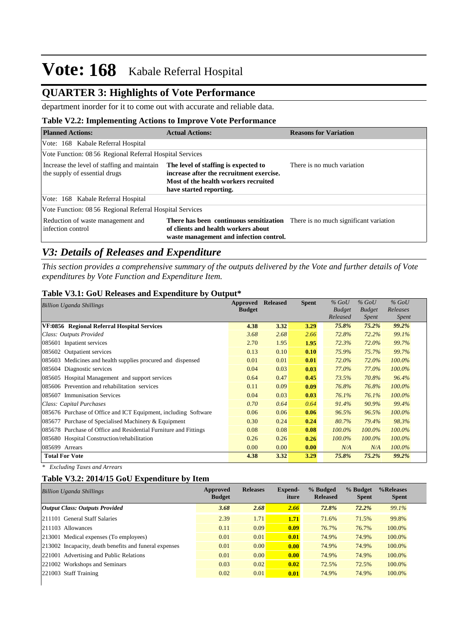## **QUARTER 3: Highlights of Vote Performance**

department inorder for it to come out with accurate and reliable data.

### **Table V2.2: Implementing Actions to Improve Vote Performance**

| <b>Planned Actions:</b>                                                      | <b>Actual Actions:</b>                                                                                                                                                  | <b>Reasons for Variation</b> |
|------------------------------------------------------------------------------|-------------------------------------------------------------------------------------------------------------------------------------------------------------------------|------------------------------|
| Vote: 168 Kabale Referral Hospital                                           |                                                                                                                                                                         |                              |
| Vote Function: 08 56 Regional Referral Hospital Services                     |                                                                                                                                                                         |                              |
| Increase the level of staffing and maintain<br>the supply of essential drugs | The level of staffing is expected to<br>increase after the recruitment exercise.<br>Most of the health workers recruited<br>have started reporting.                     | There is no much variation   |
| Vote: 168 Kabale Referral Hospital                                           |                                                                                                                                                                         |                              |
| Vote Function: 08 56 Regional Referral Hospital Services                     |                                                                                                                                                                         |                              |
| Reduction of waste management and<br>infection control                       | <b>There has been continuous sensitization</b> There is no much significant variation<br>of clients and health workers about<br>waste management and infection control. |                              |

## *V3: Details of Releases and Expenditure*

*This section provides a comprehensive summary of the outputs delivered by the Vote and further details of Vote expenditures by Vote Function and Expenditure Item.*

#### **Table V3.1: GoU Releases and Expenditure by Output\***

| <b>Billion Uganda Shillings</b>                                  | Approved      | <b>Released</b> | <b>Spent</b> | $%$ GoU       | $%$ GoU       | $%$ GoU   |
|------------------------------------------------------------------|---------------|-----------------|--------------|---------------|---------------|-----------|
|                                                                  | <b>Budget</b> |                 |              | <b>Budget</b> | <b>Budget</b> | Releases  |
|                                                                  |               |                 |              | Released      | <i>Spent</i>  | Spent     |
| VF:0856 Regional Referral Hospital Services                      | 4.38          | 3.32            | 3.29         | 75.8%         | 75.2%         | 99.2%     |
| Class: Outputs Provided                                          | 3.68          | 2.68            | 2.66         | 72.8%         | 72.2%         | 99.1%     |
| 085601 Inpatient services                                        | 2.70          | 1.95            | 1.95         | 72.3%         | 72.0%         | 99.7%     |
| 085602 Outpatient services                                       | 0.13          | 0.10            | 0.10         | 75.9%         | 75.7%         | 99.7%     |
| 085603 Medicines and health supplies procured and dispensed      | 0.01          | 0.01            | 0.01         | 72.0%         | 72.0%         | $100.0\%$ |
| 085604 Diagnostic services                                       | 0.04          | 0.03            | 0.03         | 77.0%         | 77.0%         | 100.0%    |
| 085605 Hospital Management and support services                  | 0.64          | 0.47            | 0.45         | 73.5%         | 70.8%         | 96.4%     |
| 085606 Prevention and rehabilitation services                    | 0.11          | 0.09            | 0.09         | 76.8%         | 76.8%         | 100.0%    |
| 085607 Immunisation Services                                     | 0.04          | 0.03            | 0.03         | 76.1%         | 76.1%         | 100.0%    |
| Class: Capital Purchases                                         | 0.70          | 0.64            | 0.64         | 91.4%         | 90.9%         | 99.4%     |
| 085676 Purchase of Office and ICT Equipment, including Software  | 0.06          | 0.06            | 0.06         | 96.5%         | 96.5%         | 100.0%    |
| 085677 Purchase of Specialised Machinery & Equipment             | 0.30          | 0.24            | 0.24         | 80.7%         | 79.4%         | 98.3%     |
| 085678 Purchase of Office and Residential Furniture and Fittings | 0.08          | 0.08            | 0.08         | 100.0%        | 100.0%        | 100.0%    |
| 085680 Hospital Construction/rehabilitation                      | 0.26          | 0.26            | 0.26         | $100.0\%$     | $100.0\%$     | 100.0%    |
| 085699 Arrears                                                   | 0.00          | 0.00            | 0.00         | N/A           | N/A           | 100.0%    |
| <b>Total For Vote</b>                                            | 4.38          | 3.32            | 3.29         | 75.8%         | 75.2%         | 99.2%     |

*\* Excluding Taxes and Arrears*

### **Table V3.2: 2014/15 GoU Expenditure by Item**

| <b>Billion Uganda Shillings</b>                        | Approved<br><b>Budget</b> | <b>Releases</b> | Expend-<br>iture | % Budged<br><b>Released</b> | % Budget<br><b>Spent</b> | %Releases<br><b>Spent</b> |
|--------------------------------------------------------|---------------------------|-----------------|------------------|-----------------------------|--------------------------|---------------------------|
| <b>Output Class: Outputs Provided</b>                  | 3.68                      | 2.68            | 2.66             | 72.8%                       | 72.2%                    | 99.1%                     |
| 211101 General Staff Salaries                          | 2.39                      | 1.71            | 1.71             | 71.6%                       | 71.5%                    | 99.8%                     |
| $ 211103$ Allowances                                   | 0.11                      | 0.09            | 0.09             | 76.7%                       | 76.7%                    | 100.0%                    |
| 213001 Medical expenses (To employees)                 | 0.01                      | 0.01            | 0.01             | 74.9%                       | 74.9%                    | 100.0%                    |
| 213002 Incapacity, death benefits and funeral expenses | 0.01                      | 0.00            | 0.00             | 74.9%                       | 74.9%                    | 100.0%                    |
| 221001 Advertising and Public Relations                | 0.01                      | 0.00            | 0.00             | 74.9%                       | 74.9%                    | 100.0%                    |
| 221002 Workshops and Seminars                          | 0.03                      | 0.02            | 0.02             | 72.5%                       | 72.5%                    | 100.0%                    |
| 221003 Staff Training                                  | 0.02                      | 0.01            | 0.01             | 74.9%                       | 74.9%                    | 100.0%                    |
|                                                        |                           |                 |                  |                             |                          |                           |